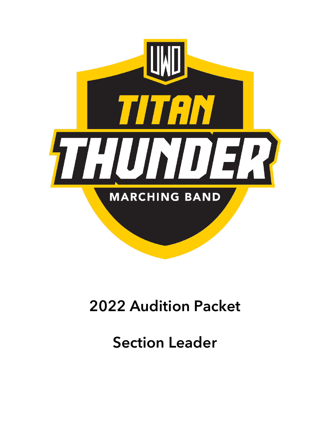

# 2022 Audition Packet

Section Leader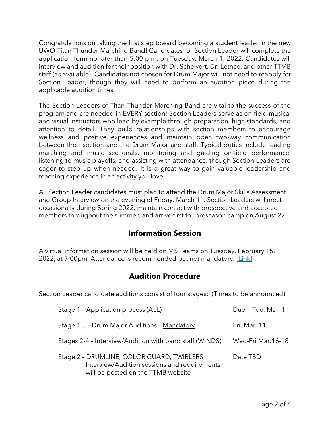Congratulations on taking the first step toward becoming a student leader in the new UWO Titan Thunder Marching Band! Candidates for Section Leader will complete the application form no later than 5:00 p.m. on Tuesday, March 1, 2022. Candidates will interview and audition for their position with Dr. Scheivert, Dr. Lethco, and other TTMB staff (as available). Candidates not chosen for Drum Major will not need to reapply for Section Leader, though they will need to perform an audition piece during the applicable audition times.

The Section Leaders of Titan Thunder Marching Band are vital to the success of the program and are needed in EVERY section! Section Leaders serve as on-field musical and visual instructors who lead by example through preparation, high standards, and attention to detail. They build relationships with section members to encourage wellness and positive experiences and maintain open two-way communication between their section and the Drum Major and staff. Typical duties include leading marching and music sectionals, monitoring and guiding on-field performance, listening to music playoffs, and assisting with attendance, though Section Leaders are eager to step up when needed. It is a great way to gain valuable leadership and teaching experience in an activity you love!

All Section Leader candidates must plan to attend the Drum Major Skills Assessment and Group Interview on the evening of Friday, March 11. Section Leaders will meet occasionally during Spring 2022, maintain contact with prospective and accepted members throughout the summer, and arrive first for preseason camp on August 22.

## **Information Session**

A virtual information session will be held on MS Teams on Tuesday, February 15, 2022, at 7:00pm. Attendance is recommended but not mandatory. [\[Link\]](https://teams.microsoft.com/l/meetup-join/19%3ameeting_NjliNDIxNTYtODE3YS00MWMxLTg4NDAtYmE4NGJhZDIwNGQx%40thread.v2/0?context=%7b%22Tid%22%3a%2216b8b9f2-f7bd-431a-b739-d49428e26316%22%2c%22Oid%22%3a%22fec33e6f-8b05-4c53-b5fc-7f85d9cbb80e%22%7d)

## **Audition Procedure**

Section Leader candidate auditions consist of four stages: (Times to be announced)

| Stage 1 - Application process (ALL)                                                                                             | Due: Tue. Mar. 1  |
|---------------------------------------------------------------------------------------------------------------------------------|-------------------|
| Stage 1.5 - Drum Major Auditions - Mandatory                                                                                    | Fri. Mar. 11      |
| Stages 2-4 - Interview/Audition with band staff (WINDS)                                                                         | Wed-Fri Mar.16-18 |
| Stage 2 - DRUMLINE, COLOR GUARD, TWIRLERS<br>Interview/Audition sessions and requirements<br>will be posted on the TTMB website | Date TBD          |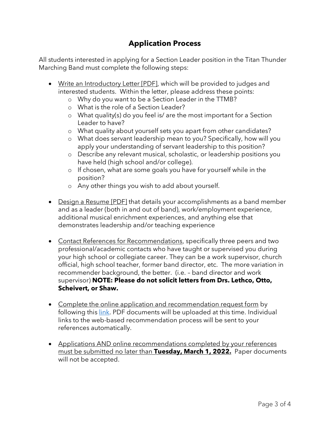# **Application Process**

All students interested in applying for a Section Leader position in the Titan Thunder Marching Band must complete the following steps:

- Write an Introductory Letter [PDF], which will be provided to judges and interested students. Within the letter, please address these points:
	- o Why do you want to be a Section Leader in the TTMB?
	- o What is the role of a Section Leader?
	- o What quality(s) do you feel is/ are the most important for a Section Leader to have?
	- o What quality about yourself sets you apart from other candidates?
	- o What does servant leadership mean to you? Specifically, how will you apply your understanding of servant leadership to this position?
	- o Describe any relevant musical, scholastic, or leadership positions you have held (high school and/or college).
	- o If chosen, what are some goals you have for yourself while in the position?
	- o Any other things you wish to add about yourself.
- Design a Resume [PDF] that details your accomplishments as a band member and as a leader (both in and out of band), work/employment experience, additional musical enrichment experiences, and anything else that demonstrates leadership and/or teaching experience
- Contact References for Recommendations, specifically three peers and two professional/academic contacts who have taught or supervised you during your high school or collegiate career. They can be a work supervisor, church official, high school teacher, former band director, etc. The more variation in recommender background, the better. (i.e. – band director and work supervisor) **NOTE: Please do not solicit letters from Drs. Lethco, Otto, Scheivert, or Shaw.**
- Complete the online application and recommendation request form by following this [link.](https://oshkosh.co1.qualtrics.com/jfe/form/SV_71lXvtdL5Hj175Y) PDF documents will be uploaded at this time. Individual links to the web-based recommendation process will be sent to your references automatically.
- Applications AND online recommendations completed by your references must be submitted no later than **Tuesday, March 1, 2022.** Paper documents will not be accepted.